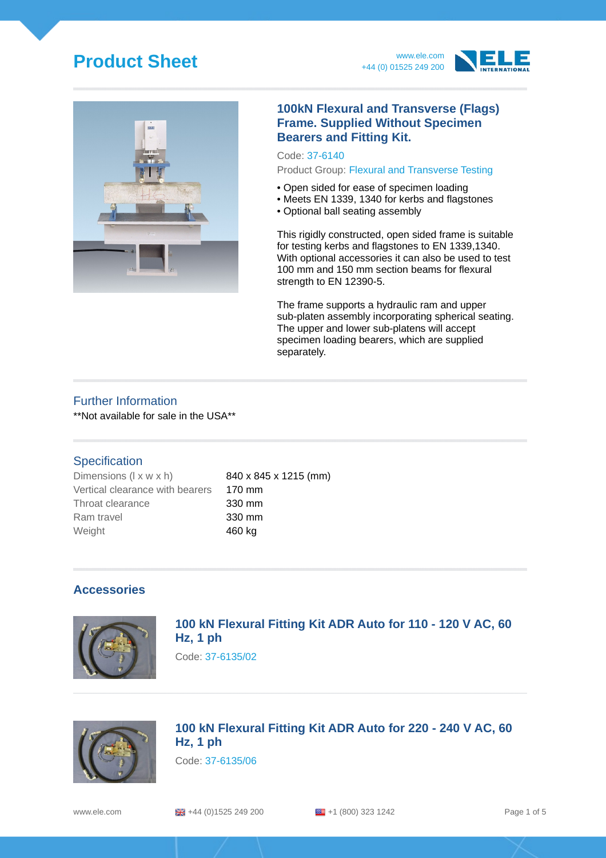# **Product Sheet** www.ele.com







#### **100kN Flexural and Transverse (Flags) Frame. Supplied Without Specimen Bearers and Fitting Kit.**

Code: 37-6140 Product Group: Flexural and Transverse Testing

- Open sided for ease of specimen loading
- Meets EN 1339, 1340 for kerbs and flagstones
- Optional ball seating assembly

This rigidly constructed, open sided frame is suitable for testing kerbs and flagstones to EN 1339,1340. With optional accessories it can also be used to test 100 mm and 150 mm section beams for flexural strength to EN 12390-5.

The frame supports a hydraulic ram and upper sub-platen assembly incorporating spherical seating. The upper and lower sub-platens will accept specimen loading bearers, which are supplied separately.

#### Further Information

\*\*Not available for sale in the USA\*\*

#### **Specification**

Dimensions  $(l \times w \times h)$  840 x 845 x 1215 (mm) Vertical clearance with bearers 170 mm Throat clearance 330 mm Ram travel **330 mm** Weight **460 kg** 

## **Accessories**



## **100 kN Flexural Fitting Kit ADR Auto for 110 - 120 V AC, 60 Hz, 1 ph**

Code: 37-6135/02



## **100 kN Flexural Fitting Kit ADR Auto for 220 - 240 V AC, 60 Hz, 1 ph**

Code: 37-6135/06

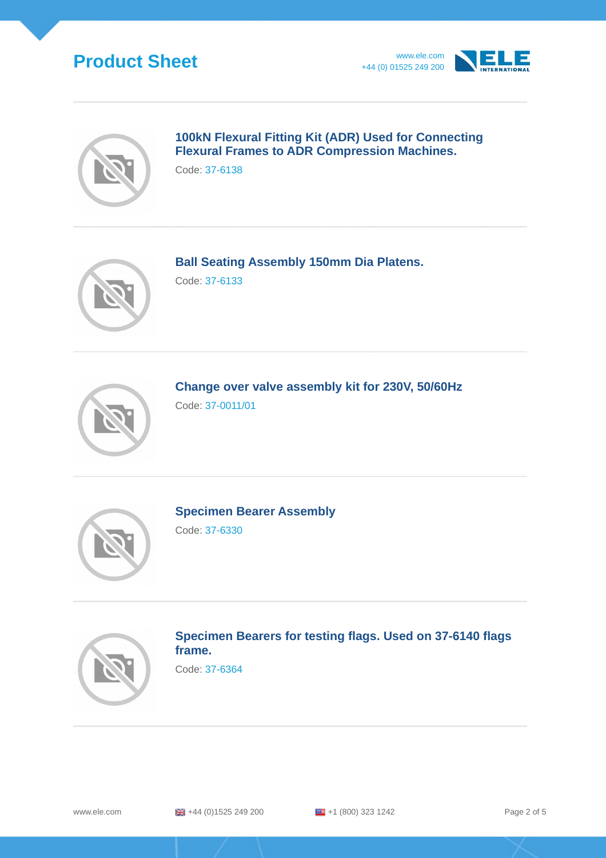# **Product Sheet** www.ele.com





## **100kN Flexural Fitting Kit (ADR) Used for Connecting Flexural Frames to ADR Compression Machines.**

Code: 37-6138



**Ball Seating Assembly 150mm Dia Platens.**

Code: 37-6133



**Change over valve assembly kit for 230V, 50/60Hz** Code: 37-0011/01



**Specimen Bearer Assembly**

Code: 37-6330



## **Specimen Bearers for testing flags. Used on 37-6140 flags frame.**

Code: 37-6364

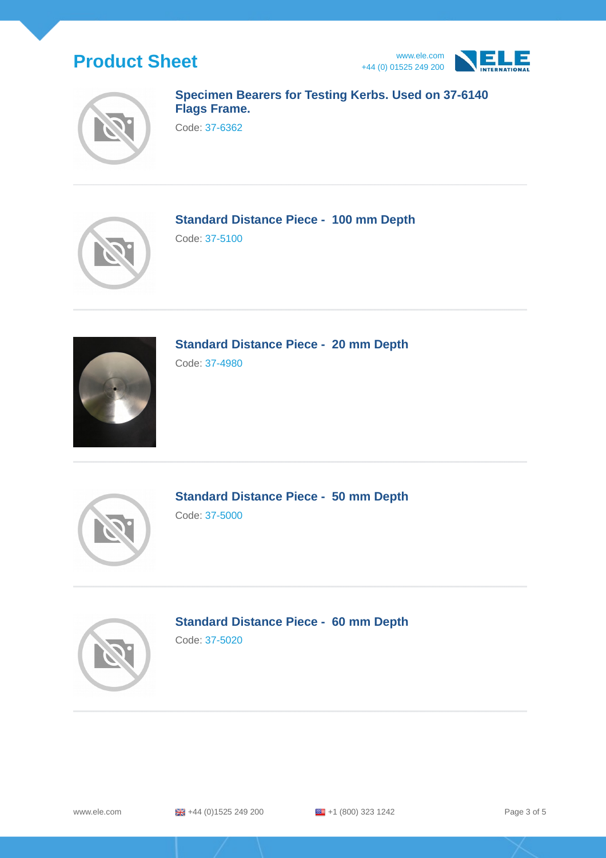





## **Specimen Bearers for Testing Kerbs. Used on 37-6140 Flags Frame.**

Code: 37-6362



**Standard Distance Piece - 100 mm Depth**

Code: 37-5100



**Standard Distance Piece - 20 mm Depth**

Code: 37-4980



**Standard Distance Piece - 50 mm Depth** Code: 37-5000



**Standard Distance Piece - 60 mm Depth**

Code: 37-5020

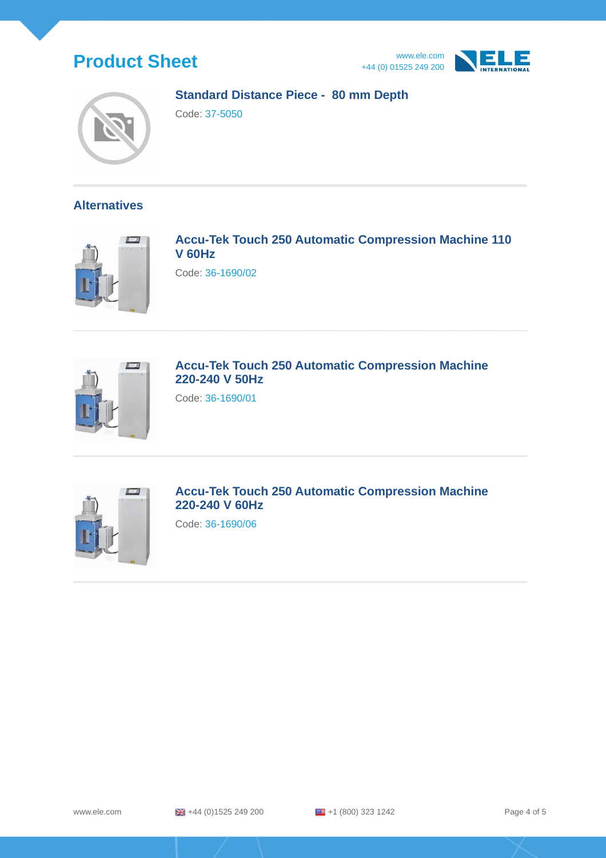







### **Standard Distance Piece - 80 mm Depth**

Code: 37-5050

### **Alternatives**



**Accu-Tek Touch 250 Automatic Compression Machine 110 V 60Hz**

Code: 36-1690/02



## **Accu-Tek Touch 250 Automatic Compression Machine 220-240 V 50Hz**

Code: 36-1690/01



**Accu-Tek Touch 250 Automatic Compression Machine 220-240 V 60Hz**

Code: 36-1690/06